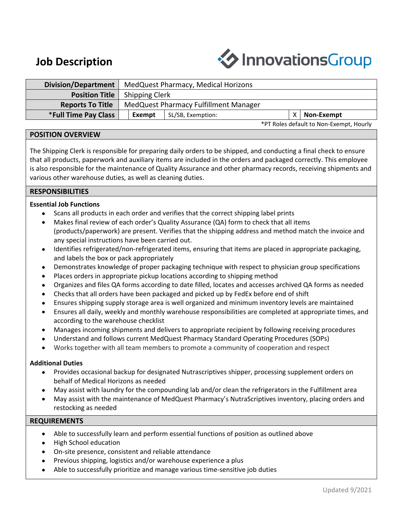# **Job Description**



| Division/Department         | MedQuest Pharmacy, Medical Horizons   |                   |  |            |
|-----------------------------|---------------------------------------|-------------------|--|------------|
| <b>Position Title</b>       | Shipping Clerk                        |                   |  |            |
| <b>Reports To Title</b>     | MedQuest Pharmacy Fulfillment Manager |                   |  |            |
| <b>*Full Time Pay Class</b> | Exempt                                | SL/SB, Exemption: |  | Non-Exempt |

\*PT Roles default to Non-Exempt, Hourly

# **POSITION OVERVIEW**

The Shipping Clerk is responsible for preparing daily orders to be shipped, and conducting a final check to ensure that all products, paperwork and auxiliary items are included in the orders and packaged correctly. This employee is also responsible for the maintenance of Quality Assurance and other pharmacy records, receiving shipments and various other warehouse duties, as well as cleaning duties.

# **RESPONSIBILITIES**

### **Essential Job Functions**

- Scans all products in each order and verifies that the correct shipping label prints
- Makes final review of each order's Quality Assurance (QA) form to check that all items (products/paperwork) are present. Verifies that the shipping address and method match the invoice and any special instructions have been carried out.
- Identifies refrigerated/non-refrigerated items, ensuring that items are placed in appropriate packaging, and labels the box or pack appropriately
- Demonstrates knowledge of proper packaging technique with respect to physician group specifications
- Places orders in appropriate pickup locations according to shipping method
- Organizes and files QA forms according to date filled, locates and accesses archived QA forms as needed
- Checks that all orders have been packaged and picked up by FedEx before end of shift
- Ensures shipping supply storage area is well organized and minimum inventory levels are maintained
- Ensures all daily, weekly and monthly warehouse responsibilities are completed at appropriate times, and according to the warehouse checklist
- Manages incoming shipments and delivers to appropriate recipient by following receiving procedures
- Understand and follows current MedQuest Pharmacy Standard Operating Procedures (SOPs)
- Works together with all team members to promote a community of cooperation and respect

# **Additional Duties**

- Provides occasional backup for designated Nutrascriptives shipper, processing supplement orders on behalf of Medical Horizons as needed
- May assist with laundry for the compounding lab and/or clean the refrigerators in the Fulfillment area
- May assist with the maintenance of MedQuest Pharmacy's NutraScriptives inventory, placing orders and restocking as needed

# **REQUIREMENTS**

- Able to successfully learn and perform essential functions of position as outlined above
- High School education
- On-site presence, consistent and reliable attendance
- Previous shipping, logistics and/or warehouse experience a plus
- Able to successfully prioritize and manage various time-sensitive job duties